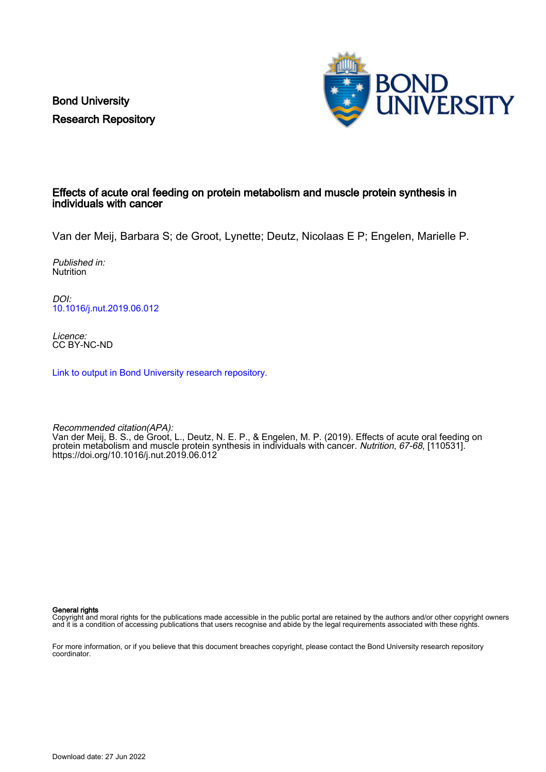Bond University Research Repository



## Effects of acute oral feeding on protein metabolism and muscle protein synthesis in individuals with cancer

Van der Meij, Barbara S; de Groot, Lynette; Deutz, Nicolaas E P; Engelen, Marielle P.

Published in: **Nutrition** 

DOI: [10.1016/j.nut.2019.06.012](https://doi.org/10.1016/j.nut.2019.06.012)

Licence: CC BY-NC-ND

[Link to output in Bond University research repository.](https://research.bond.edu.au/en/publications/e4d386e5-5895-4388-9e16-19ade13907c2)

Recommended citation(APA): Van der Meij, B. S., de Groot, L., Deutz, N. E. P., & Engelen, M. P. (2019). Effects of acute oral feeding on protein metabolism and muscle protein synthesis in individuals with cancer. Nutrition, 67-68, [110531]. <https://doi.org/10.1016/j.nut.2019.06.012>

General rights

Copyright and moral rights for the publications made accessible in the public portal are retained by the authors and/or other copyright owners and it is a condition of accessing publications that users recognise and abide by the legal requirements associated with these rights.

For more information, or if you believe that this document breaches copyright, please contact the Bond University research repository coordinator.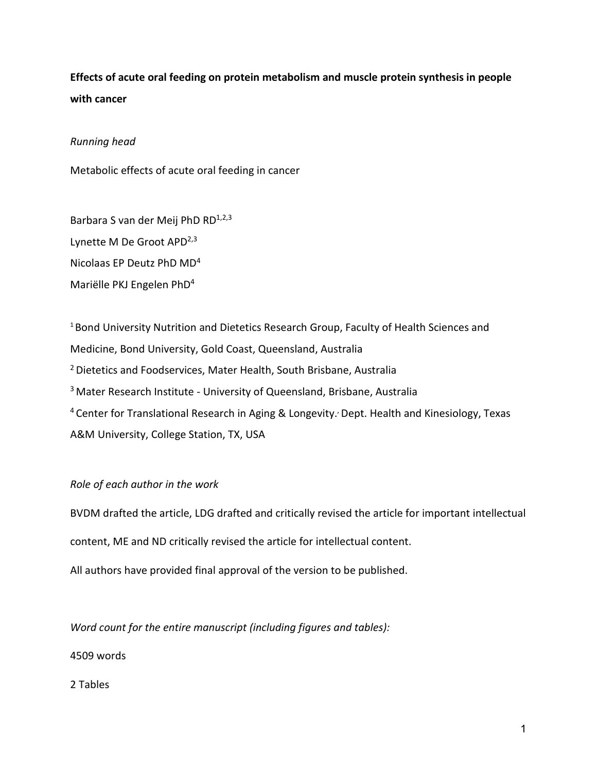# **Effects of acute oral feeding on protein metabolism and muscle protein synthesis in people with cancer**

## *Running head*

Metabolic effects of acute oral feeding in cancer

Barbara S van der Meij PhD RD<sup>1,2,3</sup> Lynette M De Groot APD<sup>2,3</sup> Nicolaas EP Deutz PhD MD4 Mariëlle PKJ Engelen PhD4

<sup>1</sup> Bond University Nutrition and Dietetics Research Group, Faculty of Health Sciences and Medicine, Bond University, Gold Coast, Queensland, Australia 2 Dietetics and Foodservices, Mater Health, South Brisbane, Australia <sup>3</sup> Mater Research Institute - University of Queensland, Brisbane, Australia <sup>4</sup> Center for Translational Research in Aging & Longevity. Dept. Health and Kinesiology, Texas A&M University, College Station, TX, USA

## *Role of each author in the work*

BVDM drafted the article, LDG drafted and critically revised the article for important intellectual

content, ME and ND critically revised the article for intellectual content.

All authors have provided final approval of the version to be published.

*Word count for the entire manuscript (including figures and tables):*

4509 words

2 Tables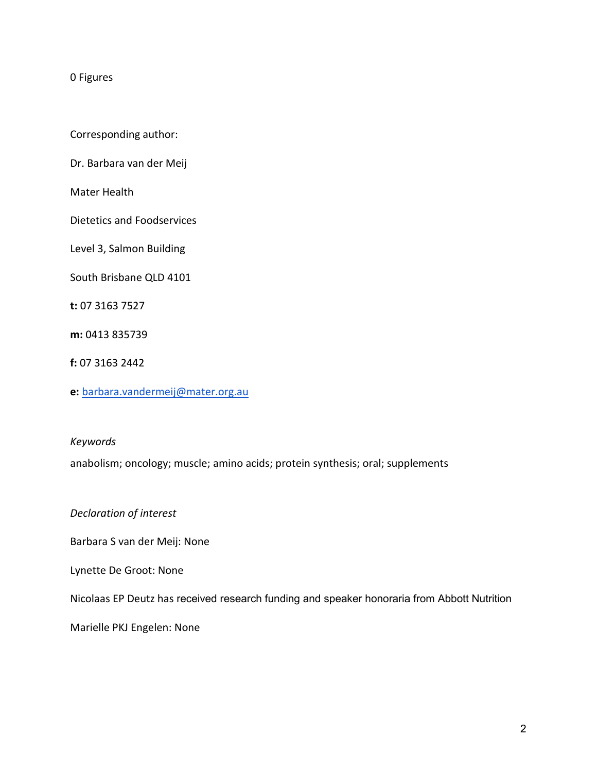#### 0 Figures

Corresponding author:

Dr. Barbara van der Meij

Mater Health

Dietetics and Foodservices

Level 3, Salmon Building

South Brisbane QLD 4101

**t:** 07 3163 7527

**m:** 0413 835739

**f:** 07 3163 2442

**e:** [barbara.vandermeij@mater.org.au](mailto:barbara.vandermeij@mater.org.au)

*Keywords*

anabolism; oncology; muscle; amino acids; protein synthesis; oral; supplements

*Declaration of interest*

Barbara S van der Meij: None

Lynette De Groot: None

Nicolaas EP Deutz has received research funding and speaker honoraria from Abbott Nutrition

Marielle PKJ Engelen: None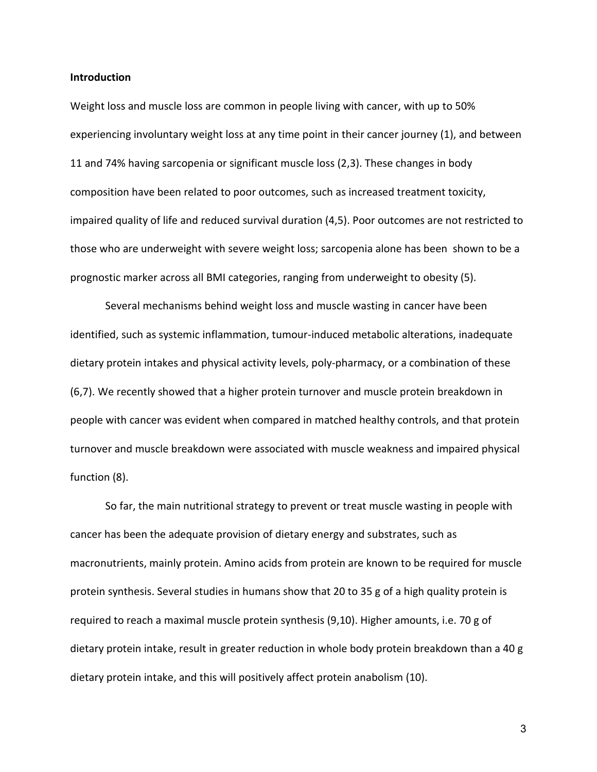#### **Introduction**

Weight loss and muscle loss are common in people living with cancer, with up to 50% experiencing involuntary weight loss at any time point in their cancer journey (1), and between 11 and 74% having sarcopenia or significant muscle loss (2,3). These changes in body composition have been related to poor outcomes, such as increased treatment toxicity, impaired quality of life and reduced survival duration (4,5). Poor outcomes are not restricted to those who are underweight with severe weight loss; sarcopenia alone has been shown to be a prognostic marker across all BMI categories, ranging from underweight to obesity (5).

Several mechanisms behind weight loss and muscle wasting in cancer have been identified, such as systemic inflammation, tumour-induced metabolic alterations, inadequate dietary protein intakes and physical activity levels, poly-pharmacy, or a combination of these (6,7). We recently showed that a higher protein turnover and muscle protein breakdown in people with cancer was evident when compared in matched healthy controls, and that protein turnover and muscle breakdown were associated with muscle weakness and impaired physical function (8).

So far, the main nutritional strategy to prevent or treat muscle wasting in people with cancer has been the adequate provision of dietary energy and substrates, such as macronutrients, mainly protein. Amino acids from protein are known to be required for muscle protein synthesis. Several studies in humans show that 20 to 35 g of a high quality protein is required to reach a maximal muscle protein synthesis (9,10). Higher amounts, i.e. 70 g of dietary protein intake, result in greater reduction in whole body protein breakdown than a 40 g dietary protein intake, and this will positively affect protein anabolism (10).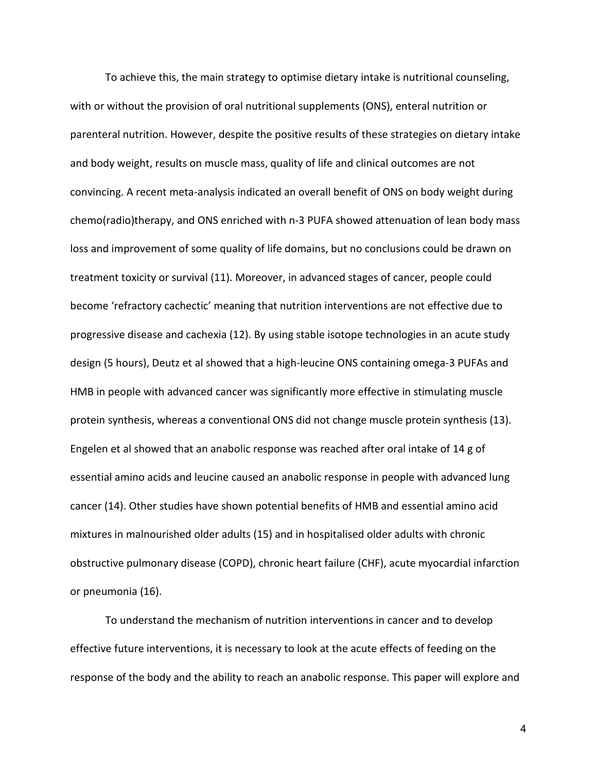To achieve this, the main strategy to optimise dietary intake is nutritional counseling, with or without the provision of oral nutritional supplements (ONS), enteral nutrition or parenteral nutrition. However, despite the positive results of these strategies on dietary intake and body weight, results on muscle mass, quality of life and clinical outcomes are not convincing. A recent meta-analysis indicated an overall benefit of ONS on body weight during chemo(radio)therapy, and ONS enriched with n-3 PUFA showed attenuation of lean body mass loss and improvement of some quality of life domains, but no conclusions could be drawn on treatment toxicity or survival (11). Moreover, in advanced stages of cancer, people could become 'refractory cachectic' meaning that nutrition interventions are not effective due to progressive disease and cachexia (12). By using stable isotope technologies in an acute study design (5 hours), Deutz et al showed that a high-leucine ONS containing omega-3 PUFAs and HMB in people with advanced cancer was significantly more effective in stimulating muscle protein synthesis, whereas a conventional ONS did not change muscle protein synthesis (13). Engelen et al showed that an anabolic response was reached after oral intake of 14 g of essential amino acids and leucine caused an anabolic response in people with advanced lung cancer (14). Other studies have shown potential benefits of HMB and essential amino acid mixtures in malnourished older adults (15) and in hospitalised older adults with chronic obstructive pulmonary disease (COPD), chronic heart failure (CHF), acute myocardial infarction or pneumonia (16).

To understand the mechanism of nutrition interventions in cancer and to develop effective future interventions, it is necessary to look at the acute effects of feeding on the response of the body and the ability to reach an anabolic response. This paper will explore and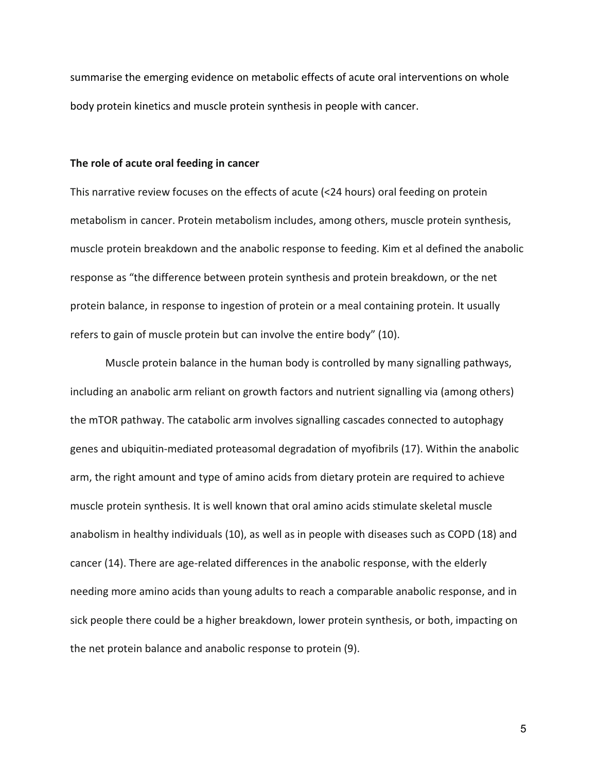summarise the emerging evidence on metabolic effects of acute oral interventions on whole body protein kinetics and muscle protein synthesis in people with cancer.

#### **The role of acute oral feeding in cancer**

This narrative review focuses on the effects of acute (<24 hours) oral feeding on protein metabolism in cancer. Protein metabolism includes, among others, muscle protein synthesis, muscle protein breakdown and the anabolic response to feeding. Kim et al defined the anabolic response as "the difference between protein synthesis and protein breakdown, or the net protein balance, in response to ingestion of protein or a meal containing protein. It usually refers to gain of muscle protein but can involve the entire body" (10).

Muscle protein balance in the human body is controlled by many signalling pathways, including an anabolic arm reliant on growth factors and nutrient signalling via (among others) the mTOR pathway. The catabolic arm involves signalling cascades connected to autophagy genes and ubiquitin-mediated proteasomal degradation of myofibrils (17). Within the anabolic arm, the right amount and type of amino acids from dietary protein are required to achieve muscle protein synthesis. It is well known that oral amino acids stimulate skeletal muscle anabolism in healthy individuals (10), as well as in people with diseases such as COPD (18) and cancer (14). There are age-related differences in the anabolic response, with the elderly needing more amino acids than young adults to reach a comparable anabolic response, and in sick people there could be a higher breakdown, lower protein synthesis, or both, impacting on the net protein balance and anabolic response to protein (9).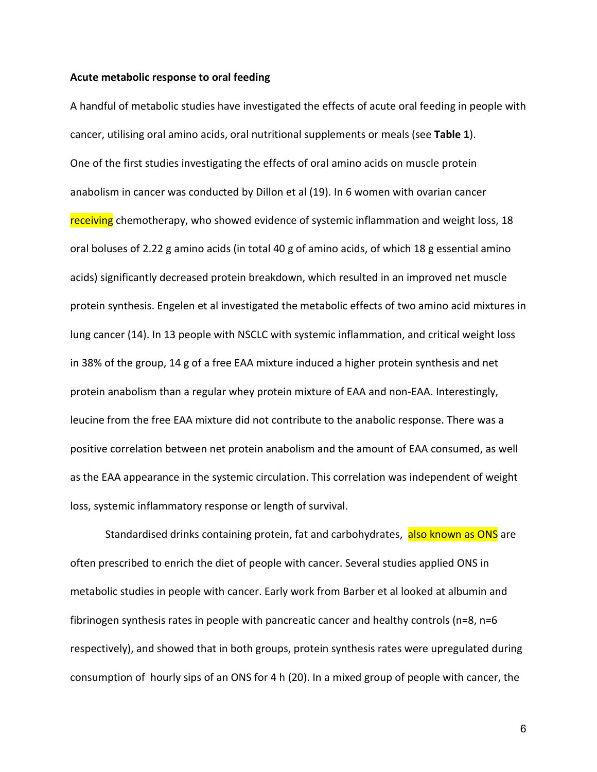#### **Acute metabolic response to oral feeding**

A handful of metabolic studies have investigated the effects of acute oral feeding in people with cancer, utilising oral amino acids, oral nutritional supplements or meals (see **Table 1**). One of the first studies investigating the effects of oral amino acids on muscle protein anabolism in cancer was conducted by Dillon et al (19). In 6 women with ovarian cancer receiving chemotherapy, who showed evidence of systemic inflammation and weight loss, 18 oral boluses of 2.22 g amino acids (in total 40 g of amino acids, of which 18 g essential amino acids) significantly decreased protein breakdown, which resulted in an improved net muscle protein synthesis. Engelen et al investigated the metabolic effects of two amino acid mixtures in lung cancer (14). In 13 people with NSCLC with systemic inflammation, and critical weight loss in 38% of the group, 14 g of a free EAA mixture induced a higher protein synthesis and net protein anabolism than a regular whey protein mixture of EAA and non-EAA. Interestingly, leucine from the free EAA mixture did not contribute to the anabolic response. There was a positive correlation between net protein anabolism and the amount of EAA consumed, as well as the EAA appearance in the systemic circulation. This correlation was independent of weight loss, systemic inflammatory response or length of survival.

Standardised drinks containing protein, fat and carbohydrates, also known as ONS are often prescribed to enrich the diet of people with cancer. Several studies applied ONS in metabolic studies in people with cancer. Early work from Barber et al looked at albumin and fibrinogen synthesis rates in people with pancreatic cancer and healthy controls (n=8, n=6 respectively), and showed that in both groups, protein synthesis rates were upregulated during consumption of hourly sips of an ONS for 4 h (20). In a mixed group of people with cancer, the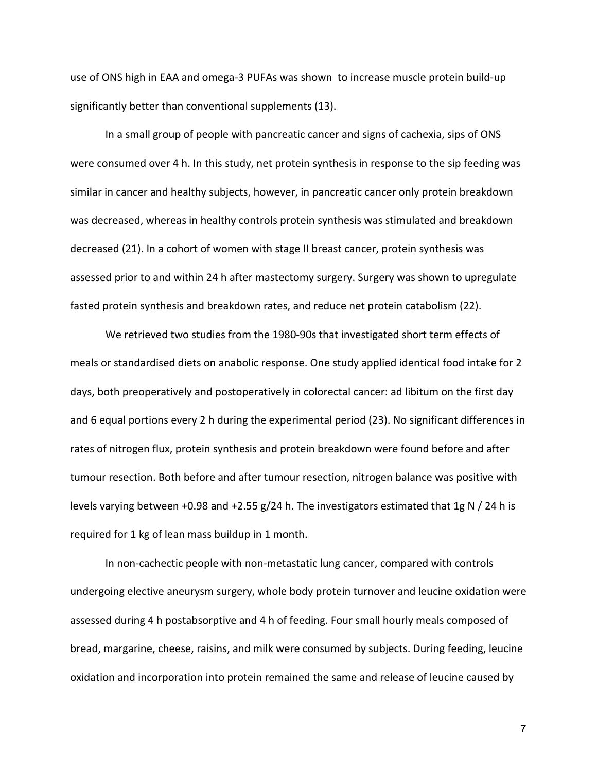use of ONS high in EAA and omega-3 PUFAs was shown to increase muscle protein build-up significantly better than conventional supplements (13).

In a small group of people with pancreatic cancer and signs of cachexia, sips of ONS were consumed over 4 h. In this study, net protein synthesis in response to the sip feeding was similar in cancer and healthy subjects, however, in pancreatic cancer only protein breakdown was decreased, whereas in healthy controls protein synthesis was stimulated and breakdown decreased (21). In a cohort of women with stage II breast cancer, protein synthesis was assessed prior to and within 24 h after mastectomy surgery. Surgery was shown to upregulate fasted protein synthesis and breakdown rates, and reduce net protein catabolism (22).

We retrieved two studies from the 1980-90s that investigated short term effects of meals or standardised diets on anabolic response. One study applied identical food intake for 2 days, both preoperatively and postoperatively in colorectal cancer: ad libitum on the first day and 6 equal portions every 2 h during the experimental period (23). No significant differences in rates of nitrogen flux, protein synthesis and protein breakdown were found before and after tumour resection. Both before and after tumour resection, nitrogen balance was positive with levels varying between +0.98 and +2.55 g/24 h. The investigators estimated that 1g N / 24 h is required for 1 kg of lean mass buildup in 1 month.

In non-cachectic people with non-metastatic lung cancer, compared with controls undergoing elective aneurysm surgery, whole body protein turnover and leucine oxidation were assessed during 4 h postabsorptive and 4 h of feeding. Four small hourly meals composed of bread, margarine, cheese, raisins, and milk were consumed by subjects. During feeding, leucine oxidation and incorporation into protein remained the same and release of leucine caused by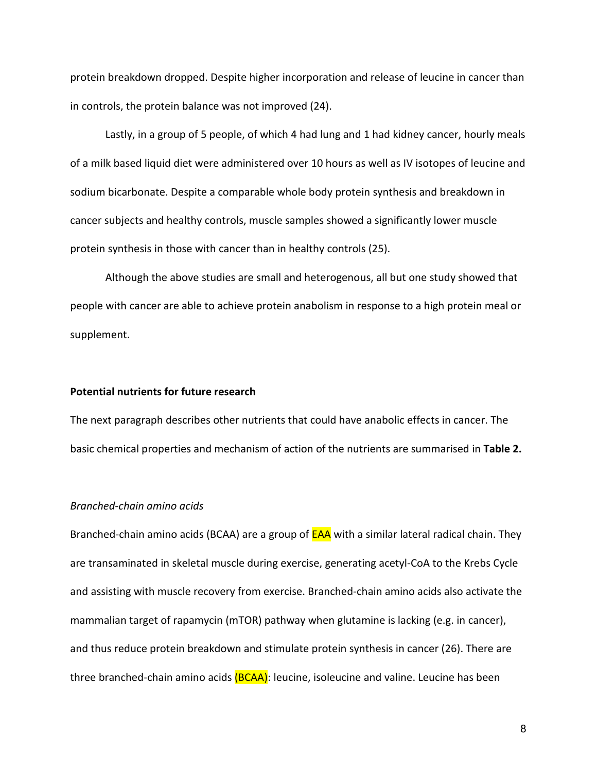protein breakdown dropped. Despite higher incorporation and release of leucine in cancer than in controls, the protein balance was not improved (24).

Lastly, in a group of 5 people, of which 4 had lung and 1 had kidney cancer, hourly meals of a milk based liquid diet were administered over 10 hours as well as IV isotopes of leucine and sodium bicarbonate. Despite a comparable whole body protein synthesis and breakdown in cancer subjects and healthy controls, muscle samples showed a significantly lower muscle protein synthesis in those with cancer than in healthy controls (25).

Although the above studies are small and heterogenous, all but one study showed that people with cancer are able to achieve protein anabolism in response to a high protein meal or supplement.

#### **Potential nutrients for future research**

The next paragraph describes other nutrients that could have anabolic effects in cancer. The basic chemical properties and mechanism of action of the nutrients are summarised in **Table 2.** 

#### *Branched-chain amino acids*

Branched-chain amino acids (BCAA) are a group of **EAA** with a similar lateral radical chain. They are transaminated in skeletal muscle during exercise, generating acetyl-CoA to the Krebs Cycle and assisting with muscle recovery from exercise. Branched-chain amino acids also activate the mammalian target of rapamycin (mTOR) pathway when glutamine is lacking (e.g. in cancer), and thus reduce protein breakdown and stimulate protein synthesis in cancer (26). There are three branched-chain amino acids (BCAA): leucine, isoleucine and valine. Leucine has been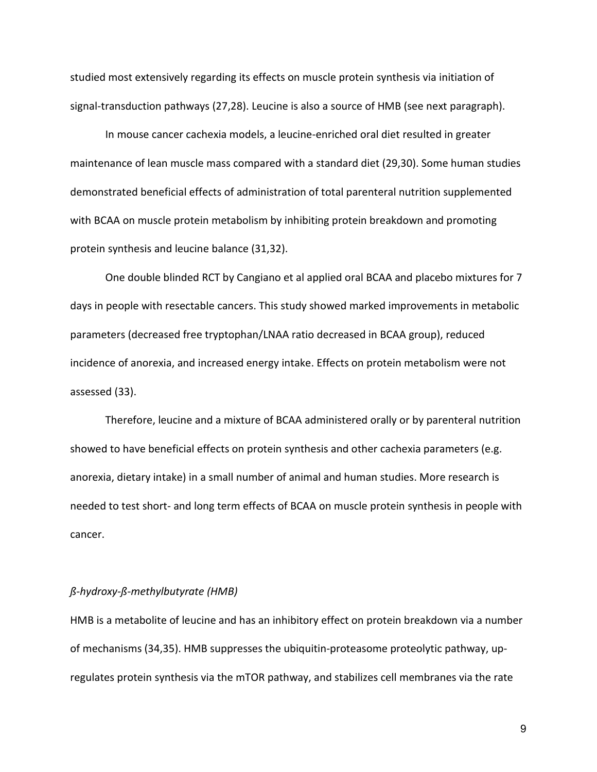studied most extensively regarding its effects on muscle protein synthesis via initiation of signal-transduction pathways (27,28). Leucine is also a source of HMB (see next paragraph).

In mouse cancer cachexia models, a leucine-enriched oral diet resulted in greater maintenance of lean muscle mass compared with a standard diet (29,30). Some human studies demonstrated beneficial effects of administration of total parenteral nutrition supplemented with BCAA on muscle protein metabolism by inhibiting protein breakdown and promoting protein synthesis and leucine balance (31,32).

One double blinded RCT by Cangiano et al applied oral BCAA and placebo mixtures for 7 days in people with resectable cancers. This study showed marked improvements in metabolic parameters (decreased free tryptophan/LNAA ratio decreased in BCAA group), reduced incidence of anorexia, and increased energy intake. Effects on protein metabolism were not assessed (33).

Therefore, leucine and a mixture of BCAA administered orally or by parenteral nutrition showed to have beneficial effects on protein synthesis and other cachexia parameters (e.g. anorexia, dietary intake) in a small number of animal and human studies. More research is needed to test short- and long term effects of BCAA on muscle protein synthesis in people with cancer.

### *ß-hydroxy-ß-methylbutyrate (HMB)*

HMB is a metabolite of leucine and has an inhibitory effect on protein breakdown via a number of mechanisms (34,35). HMB suppresses the ubiquitin-proteasome proteolytic pathway, upregulates protein synthesis via the mTOR pathway, and stabilizes cell membranes via the rate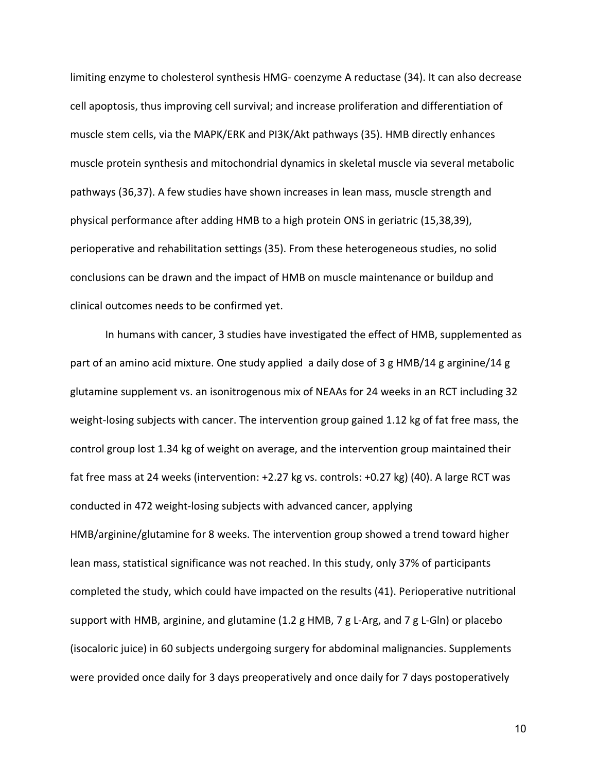limiting enzyme to cholesterol synthesis HMG- coenzyme A reductase (34). It can also decrease cell apoptosis, thus improving cell survival; and increase proliferation and differentiation of muscle stem cells, via the MAPK/ERK and PI3K/Akt pathways (35). HMB directly enhances muscle protein synthesis and mitochondrial dynamics in skeletal muscle via several metabolic pathways (36,37). A few studies have shown increases in lean mass, muscle strength and physical performance after adding HMB to a high protein ONS in geriatric (15,38,39), perioperative and rehabilitation settings (35). From these heterogeneous studies, no solid conclusions can be drawn and the impact of HMB on muscle maintenance or buildup and clinical outcomes needs to be confirmed yet.

In humans with cancer, 3 studies have investigated the effect of HMB, supplemented as part of an amino acid mixture. One study applied a daily dose of 3 g HMB/14 g arginine/14 g glutamine supplement vs. an isonitrogenous mix of NEAAs for 24 weeks in an RCT including 32 weight-losing subjects with cancer. The intervention group gained 1.12 kg of fat free mass, the control group lost 1.34 kg of weight on average, and the intervention group maintained their fat free mass at 24 weeks (intervention: +2.27 kg vs. controls: +0.27 kg) (40). A large RCT was conducted in 472 weight-losing subjects with advanced cancer, applying HMB/arginine/glutamine for 8 weeks. The intervention group showed a trend toward higher lean mass, statistical significance was not reached. In this study, only 37% of participants completed the study, which could have impacted on the results (41). Perioperative nutritional support with HMB, arginine, and glutamine (1.2 g HMB, 7 g L-Arg, and 7 g L-Gln) or placebo (isocaloric juice) in 60 subjects undergoing surgery for abdominal malignancies. Supplements were provided once daily for 3 days preoperatively and once daily for 7 days postoperatively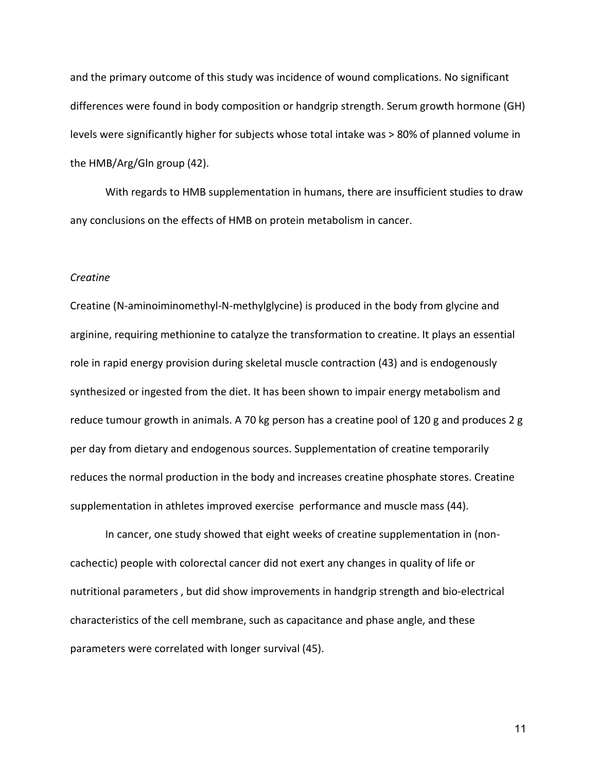and the primary outcome of this study was incidence of wound complications. No significant differences were found in body composition or handgrip strength. Serum growth hormone (GH) levels were significantly higher for subjects whose total intake was > 80% of planned volume in the HMB/Arg/Gln group (42).

With regards to HMB supplementation in humans, there are insufficient studies to draw any conclusions on the effects of HMB on protein metabolism in cancer.

#### *Creatine*

Creatine (N-aminoiminomethyl-N-methylglycine) is produced in the body from glycine and arginine, requiring methionine to catalyze the transformation to creatine. It plays an essential role in rapid energy provision during skeletal muscle contraction (43) and is endogenously synthesized or ingested from the diet. It has been shown to impair energy metabolism and reduce tumour growth in animals. A 70 kg person has a creatine pool of 120 g and produces 2 g per day from dietary and endogenous sources. Supplementation of creatine temporarily reduces the normal production in the body and increases creatine phosphate stores. Creatine supplementation in athletes improved exercise performance and muscle mass (44).

In cancer, one study showed that eight weeks of creatine supplementation in (noncachectic) people with colorectal cancer did not exert any changes in quality of life or nutritional parameters , but did show improvements in handgrip strength and bio-electrical characteristics of the cell membrane, such as capacitance and phase angle, and these parameters were correlated with longer survival (45).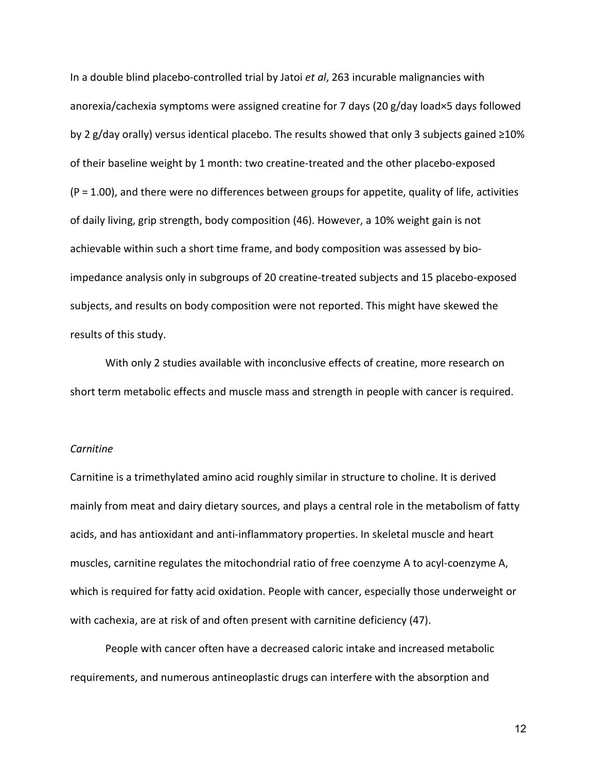In a double blind placebo-controlled trial by Jatoi *et al*, 263 incurable malignancies with anorexia/cachexia symptoms were assigned creatine for 7 days (20 g/day load×5 days followed by 2 g/day orally) versus identical placebo. The results showed that only 3 subjects gained ≥10% of their baseline weight by 1 month: two creatine-treated and the other placebo-exposed (P = 1.00), and there were no differences between groups for appetite, quality of life, activities of daily living, grip strength, body composition (46). However, a 10% weight gain is not achievable within such a short time frame, and body composition was assessed by bioimpedance analysis only in subgroups of 20 creatine-treated subjects and 15 placebo-exposed subjects, and results on body composition were not reported. This might have skewed the results of this study.

With only 2 studies available with inconclusive effects of creatine, more research on short term metabolic effects and muscle mass and strength in people with cancer is required.

#### *Carnitine*

Carnitine is a trimethylated amino acid roughly similar in structure to choline. It is derived mainly from meat and dairy dietary sources, and plays a central role in the metabolism of fatty acids, and has antioxidant and anti-inflammatory properties. In skeletal muscle and heart muscles, carnitine regulates the mitochondrial ratio of free coenzyme A to acyl-coenzyme A, which is required for fatty acid oxidation. People with cancer, especially those underweight or with cachexia, are at risk of and often present with carnitine deficiency (47).

People with cancer often have a decreased caloric intake and increased metabolic requirements, and numerous antineoplastic drugs can interfere with the absorption and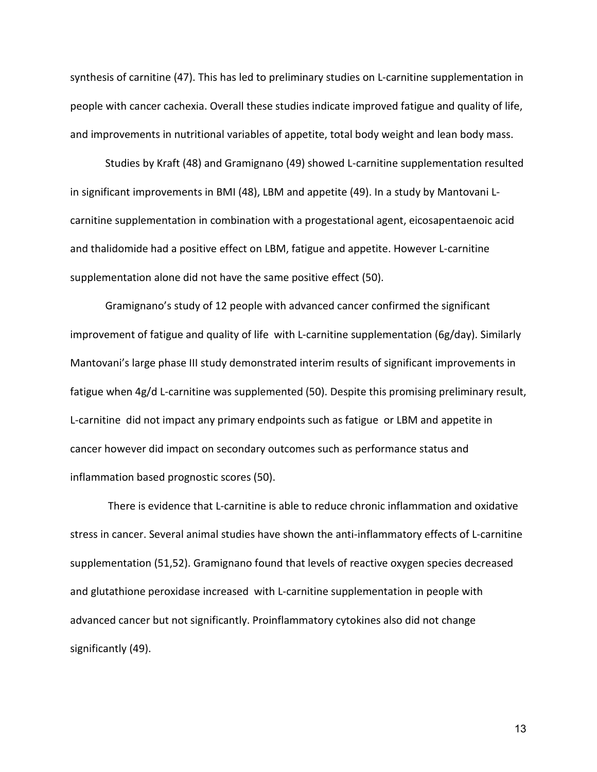synthesis of carnitine (47). This has led to preliminary studies on L-carnitine supplementation in people with cancer cachexia. Overall these studies indicate improved fatigue and quality of life, and improvements in nutritional variables of appetite, total body weight and lean body mass.

Studies by Kraft (48) and Gramignano (49) showed L-carnitine supplementation resulted in significant improvements in BMI (48), LBM and appetite (49). In a study by Mantovani Lcarnitine supplementation in combination with a progestational agent, eicosapentaenoic acid and thalidomide had a positive effect on LBM, fatigue and appetite. However L-carnitine supplementation alone did not have the same positive effect (50).

Gramignano's study of 12 people with advanced cancer confirmed the significant improvement of fatigue and quality of life with L-carnitine supplementation (6g/day). Similarly Mantovani's large phase III study demonstrated interim results of significant improvements in fatigue when 4g/d L-carnitine was supplemented (50). Despite this promising preliminary result, L-carnitine did not impact any primary endpoints such as fatigue or LBM and appetite in cancer however did impact on secondary outcomes such as performance status and inflammation based prognostic scores (50).

There is evidence that L-carnitine is able to reduce chronic inflammation and oxidative stress in cancer. Several animal studies have shown the anti-inflammatory effects of L-carnitine supplementation (51,52). Gramignano found that levels of reactive oxygen species decreased and glutathione peroxidase increased with L-carnitine supplementation in people with advanced cancer but not significantly. Proinflammatory cytokines also did not change significantly (49).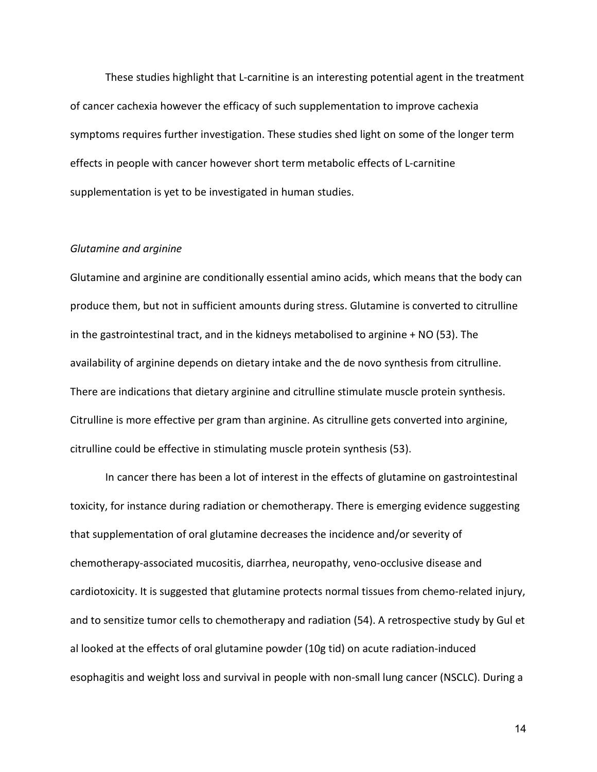These studies highlight that L-carnitine is an interesting potential agent in the treatment of cancer cachexia however the efficacy of such supplementation to improve cachexia symptoms requires further investigation. These studies shed light on some of the longer term effects in people with cancer however short term metabolic effects of L-carnitine supplementation is yet to be investigated in human studies.

#### *Glutamine and arginine*

Glutamine and arginine are conditionally essential amino acids, which means that the body can produce them, but not in sufficient amounts during stress. Glutamine is converted to citrulline in the gastrointestinal tract, and in the kidneys metabolised to arginine + NO (53). The availability of arginine depends on dietary intake and the de novo synthesis from citrulline. There are indications that dietary arginine and citrulline stimulate muscle protein synthesis. Citrulline is more effective per gram than arginine. As citrulline gets converted into arginine, citrulline could be effective in stimulating muscle protein synthesis (53).

In cancer there has been a lot of interest in the effects of glutamine on gastrointestinal toxicity, for instance during radiation or chemotherapy. There is emerging evidence suggesting that supplementation of oral glutamine decreases the incidence and/or severity of chemotherapy-associated mucositis, diarrhea, neuropathy, veno-occlusive disease and cardiotoxicity. It is suggested that glutamine protects normal tissues from chemo-related injury, and to sensitize tumor cells to chemotherapy and radiation (54). A retrospective study by Gul et al looked at the effects of oral glutamine powder (10g tid) on acute radiation-induced esophagitis and weight loss and survival in people with non-small lung cancer (NSCLC). During a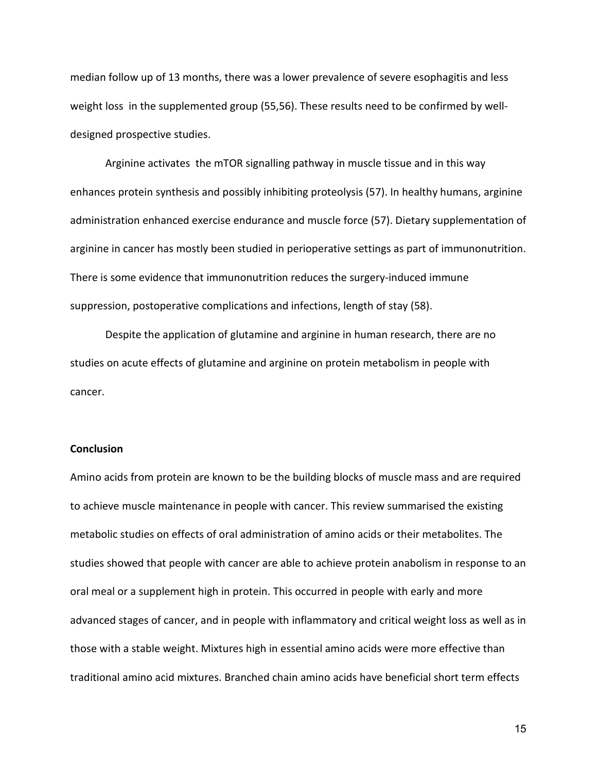median follow up of 13 months, there was a lower prevalence of severe esophagitis and less weight loss in the supplemented group (55,56). These results need to be confirmed by welldesigned prospective studies.

Arginine activates the mTOR signalling pathway in muscle tissue and in this way enhances protein synthesis and possibly inhibiting proteolysis (57). In healthy humans, arginine administration enhanced exercise endurance and muscle force (57). Dietary supplementation of arginine in cancer has mostly been studied in perioperative settings as part of immunonutrition. There is some evidence that immunonutrition reduces the surgery-induced immune suppression, postoperative complications and infections, length of stay (58).

Despite the application of glutamine and arginine in human research, there are no studies on acute effects of glutamine and arginine on protein metabolism in people with cancer.

#### **Conclusion**

Amino acids from protein are known to be the building blocks of muscle mass and are required to achieve muscle maintenance in people with cancer. This review summarised the existing metabolic studies on effects of oral administration of amino acids or their metabolites. The studies showed that people with cancer are able to achieve protein anabolism in response to an oral meal or a supplement high in protein. This occurred in people with early and more advanced stages of cancer, and in people with inflammatory and critical weight loss as well as in those with a stable weight. Mixtures high in essential amino acids were more effective than traditional amino acid mixtures. Branched chain amino acids have beneficial short term effects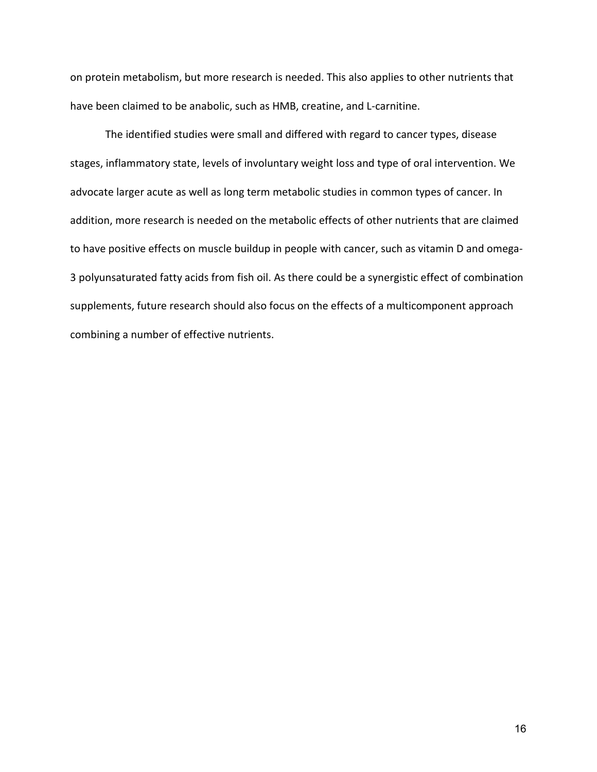on protein metabolism, but more research is needed. This also applies to other nutrients that have been claimed to be anabolic, such as HMB, creatine, and L-carnitine.

The identified studies were small and differed with regard to cancer types, disease stages, inflammatory state, levels of involuntary weight loss and type of oral intervention. We advocate larger acute as well as long term metabolic studies in common types of cancer. In addition, more research is needed on the metabolic effects of other nutrients that are claimed to have positive effects on muscle buildup in people with cancer, such as vitamin D and omega-3 polyunsaturated fatty acids from fish oil. As there could be a synergistic effect of combination supplements, future research should also focus on the effects of a multicomponent approach combining a number of effective nutrients.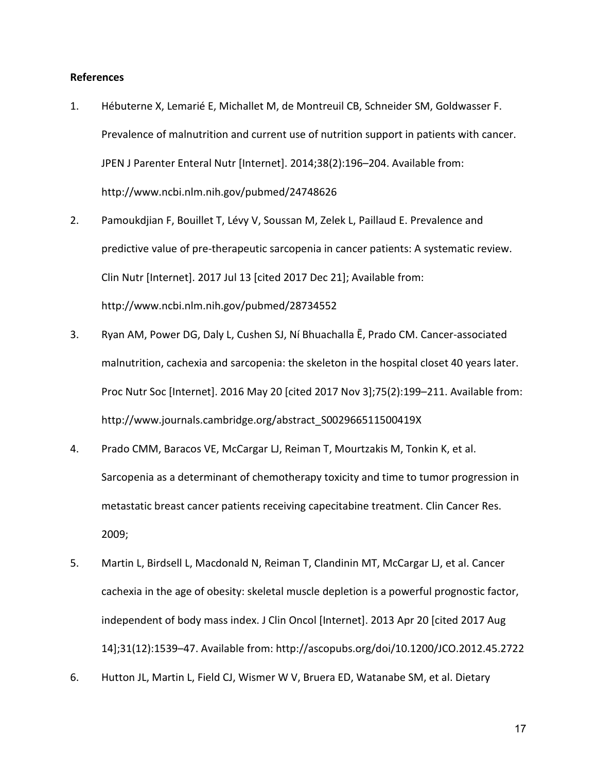#### **References**

- 1. Hébuterne X, Lemarié E, Michallet M, de Montreuil CB, Schneider SM, Goldwasser F. Prevalence of malnutrition and current use of nutrition support in patients with cancer. JPEN J Parenter Enteral Nutr [Internet]. 2014;38(2):196–204. Available from: http://www.ncbi.nlm.nih.gov/pubmed/24748626
- 2. Pamoukdjian F, Bouillet T, Lévy V, Soussan M, Zelek L, Paillaud E. Prevalence and predictive value of pre-therapeutic sarcopenia in cancer patients: A systematic review. Clin Nutr [Internet]. 2017 Jul 13 [cited 2017 Dec 21]; Available from: http://www.ncbi.nlm.nih.gov/pubmed/28734552
- 3. Ryan AM, Power DG, Daly L, Cushen SJ, Ní Bhuachalla Ē, Prado CM. Cancer-associated malnutrition, cachexia and sarcopenia: the skeleton in the hospital closet 40 years later. Proc Nutr Soc [Internet]. 2016 May 20 [cited 2017 Nov 3];75(2):199–211. Available from: http://www.journals.cambridge.org/abstract\_S002966511500419X
- 4. Prado CMM, Baracos VE, McCargar LJ, Reiman T, Mourtzakis M, Tonkin K, et al. Sarcopenia as a determinant of chemotherapy toxicity and time to tumor progression in metastatic breast cancer patients receiving capecitabine treatment. Clin Cancer Res. 2009;
- 5. Martin L, Birdsell L, Macdonald N, Reiman T, Clandinin MT, McCargar LJ, et al. Cancer cachexia in the age of obesity: skeletal muscle depletion is a powerful prognostic factor, independent of body mass index. J Clin Oncol [Internet]. 2013 Apr 20 [cited 2017 Aug 14];31(12):1539–47. Available from: http://ascopubs.org/doi/10.1200/JCO.2012.45.2722
- 6. Hutton JL, Martin L, Field CJ, Wismer W V, Bruera ED, Watanabe SM, et al. Dietary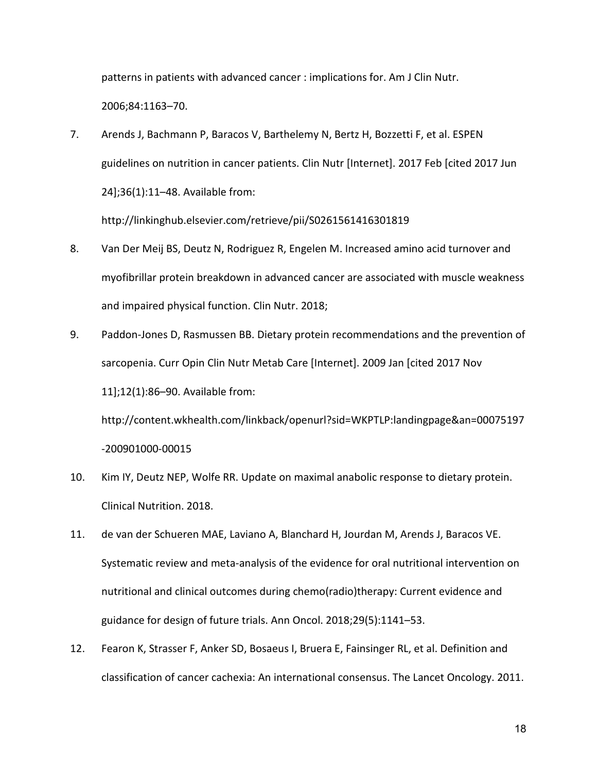patterns in patients with advanced cancer : implications for. Am J Clin Nutr. 2006;84:1163–70.

- 7. Arends J, Bachmann P, Baracos V, Barthelemy N, Bertz H, Bozzetti F, et al. ESPEN guidelines on nutrition in cancer patients. Clin Nutr [Internet]. 2017 Feb [cited 2017 Jun 24];36(1):11–48. Available from: http://linkinghub.elsevier.com/retrieve/pii/S0261561416301819
- 8. Van Der Meij BS, Deutz N, Rodriguez R, Engelen M. Increased amino acid turnover and myofibrillar protein breakdown in advanced cancer are associated with muscle weakness and impaired physical function. Clin Nutr. 2018;
- 9. Paddon-Jones D, Rasmussen BB. Dietary protein recommendations and the prevention of sarcopenia. Curr Opin Clin Nutr Metab Care [Internet]. 2009 Jan [cited 2017 Nov 11];12(1):86–90. Available from:

http://content.wkhealth.com/linkback/openurl?sid=WKPTLP:landingpage&an=00075197 -200901000-00015

- 10. Kim IY, Deutz NEP, Wolfe RR. Update on maximal anabolic response to dietary protein. Clinical Nutrition. 2018.
- 11. de van der Schueren MAE, Laviano A, Blanchard H, Jourdan M, Arends J, Baracos VE. Systematic review and meta-analysis of the evidence for oral nutritional intervention on nutritional and clinical outcomes during chemo(radio)therapy: Current evidence and guidance for design of future trials. Ann Oncol. 2018;29(5):1141–53.
- 12. Fearon K, Strasser F, Anker SD, Bosaeus I, Bruera E, Fainsinger RL, et al. Definition and classification of cancer cachexia: An international consensus. The Lancet Oncology. 2011.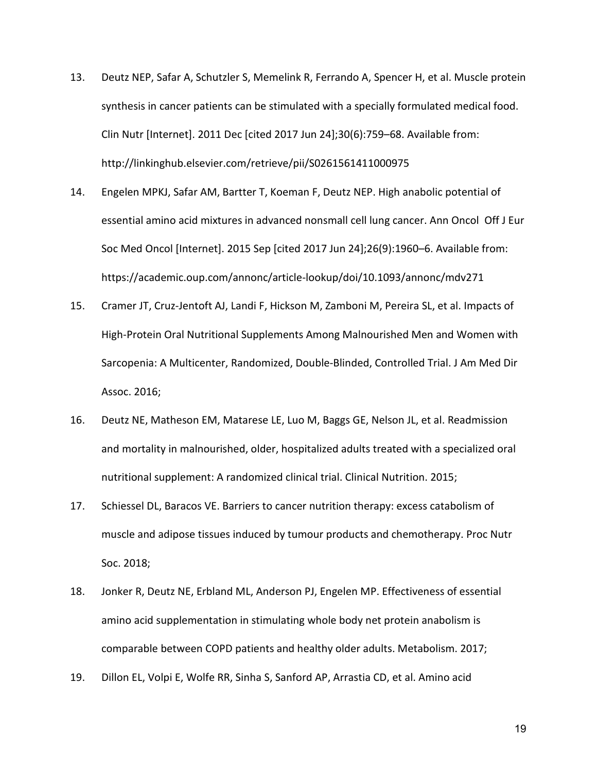- 13. Deutz NEP, Safar A, Schutzler S, Memelink R, Ferrando A, Spencer H, et al. Muscle protein synthesis in cancer patients can be stimulated with a specially formulated medical food. Clin Nutr [Internet]. 2011 Dec [cited 2017 Jun 24];30(6):759–68. Available from: http://linkinghub.elsevier.com/retrieve/pii/S0261561411000975
- 14. Engelen MPKJ, Safar AM, Bartter T, Koeman F, Deutz NEP. High anabolic potential of essential amino acid mixtures in advanced nonsmall cell lung cancer. Ann Oncol Off J Eur Soc Med Oncol [Internet]. 2015 Sep [cited 2017 Jun 24];26(9):1960–6. Available from: https://academic.oup.com/annonc/article-lookup/doi/10.1093/annonc/mdv271
- 15. Cramer JT, Cruz-Jentoft AJ, Landi F, Hickson M, Zamboni M, Pereira SL, et al. Impacts of High-Protein Oral Nutritional Supplements Among Malnourished Men and Women with Sarcopenia: A Multicenter, Randomized, Double-Blinded, Controlled Trial. J Am Med Dir Assoc. 2016;
- 16. Deutz NE, Matheson EM, Matarese LE, Luo M, Baggs GE, Nelson JL, et al. Readmission and mortality in malnourished, older, hospitalized adults treated with a specialized oral nutritional supplement: A randomized clinical trial. Clinical Nutrition. 2015;
- 17. Schiessel DL, Baracos VE. Barriers to cancer nutrition therapy: excess catabolism of muscle and adipose tissues induced by tumour products and chemotherapy. Proc Nutr Soc. 2018;
- 18. Jonker R, Deutz NE, Erbland ML, Anderson PJ, Engelen MP. Effectiveness of essential amino acid supplementation in stimulating whole body net protein anabolism is comparable between COPD patients and healthy older adults. Metabolism. 2017;
- 19. Dillon EL, Volpi E, Wolfe RR, Sinha S, Sanford AP, Arrastia CD, et al. Amino acid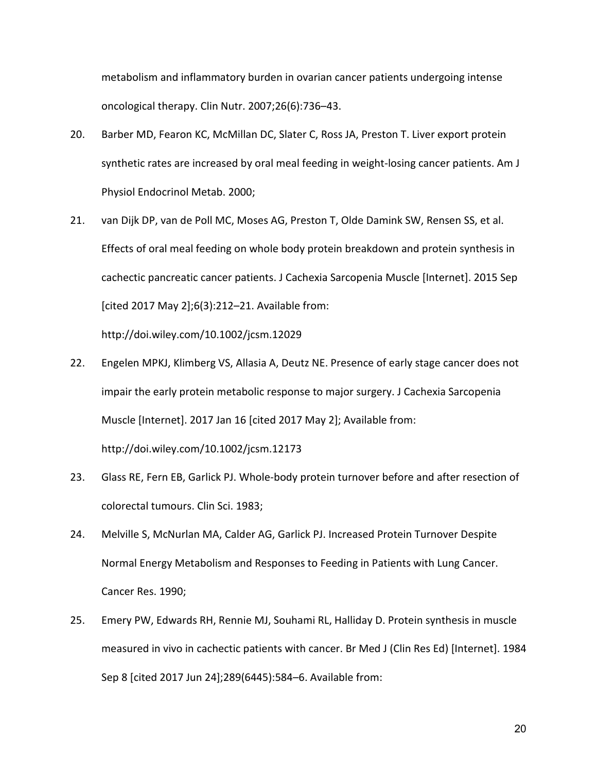metabolism and inflammatory burden in ovarian cancer patients undergoing intense oncological therapy. Clin Nutr. 2007;26(6):736–43.

- 20. Barber MD, Fearon KC, McMillan DC, Slater C, Ross JA, Preston T. Liver export protein synthetic rates are increased by oral meal feeding in weight-losing cancer patients. Am J Physiol Endocrinol Metab. 2000;
- 21. van Dijk DP, van de Poll MC, Moses AG, Preston T, Olde Damink SW, Rensen SS, et al. Effects of oral meal feeding on whole body protein breakdown and protein synthesis in cachectic pancreatic cancer patients. J Cachexia Sarcopenia Muscle [Internet]. 2015 Sep [cited 2017 May 2];6(3):212–21. Available from:

http://doi.wiley.com/10.1002/jcsm.12029

- 22. Engelen MPKJ, Klimberg VS, Allasia A, Deutz NE. Presence of early stage cancer does not impair the early protein metabolic response to major surgery. J Cachexia Sarcopenia Muscle [Internet]. 2017 Jan 16 [cited 2017 May 2]; Available from: http://doi.wiley.com/10.1002/jcsm.12173
- 23. Glass RE, Fern EB, Garlick PJ. Whole-body protein turnover before and after resection of colorectal tumours. Clin Sci. 1983;
- 24. Melville S, McNurlan MA, Calder AG, Garlick PJ. Increased Protein Turnover Despite Normal Energy Metabolism and Responses to Feeding in Patients with Lung Cancer. Cancer Res. 1990;
- 25. Emery PW, Edwards RH, Rennie MJ, Souhami RL, Halliday D. Protein synthesis in muscle measured in vivo in cachectic patients with cancer. Br Med J (Clin Res Ed) [Internet]. 1984 Sep 8 [cited 2017 Jun 24];289(6445):584–6. Available from: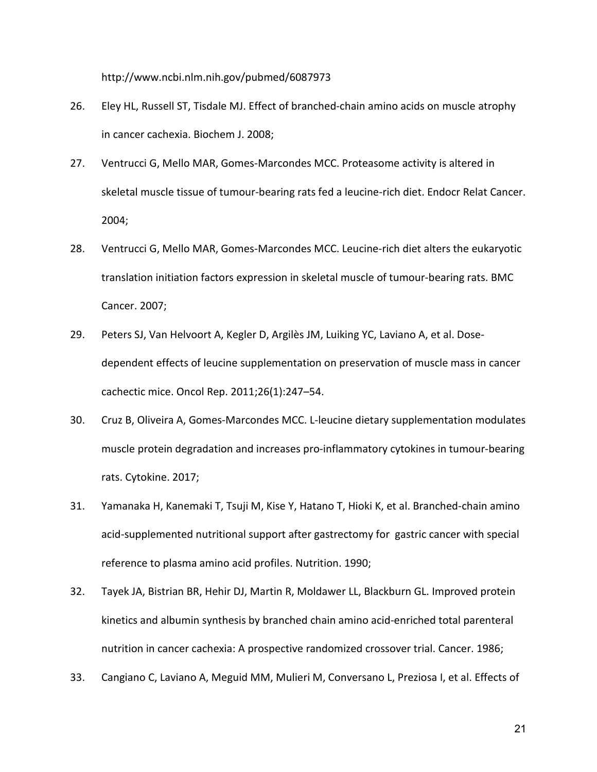http://www.ncbi.nlm.nih.gov/pubmed/6087973

- 26. Eley HL, Russell ST, Tisdale MJ. Effect of branched-chain amino acids on muscle atrophy in cancer cachexia. Biochem J. 2008;
- 27. Ventrucci G, Mello MAR, Gomes-Marcondes MCC. Proteasome activity is altered in skeletal muscle tissue of tumour-bearing rats fed a leucine-rich diet. Endocr Relat Cancer. 2004;
- 28. Ventrucci G, Mello MAR, Gomes-Marcondes MCC. Leucine-rich diet alters the eukaryotic translation initiation factors expression in skeletal muscle of tumour-bearing rats. BMC Cancer. 2007;
- 29. Peters SJ, Van Helvoort A, Kegler D, Argilès JM, Luiking YC, Laviano A, et al. Dosedependent effects of leucine supplementation on preservation of muscle mass in cancer cachectic mice. Oncol Rep. 2011;26(1):247–54.
- 30. Cruz B, Oliveira A, Gomes-Marcondes MCC. L-leucine dietary supplementation modulates muscle protein degradation and increases pro-inflammatory cytokines in tumour-bearing rats. Cytokine. 2017;
- 31. Yamanaka H, Kanemaki T, Tsuji M, Kise Y, Hatano T, Hioki K, et al. Branched-chain amino acid-supplemented nutritional support after gastrectomy for gastric cancer with special reference to plasma amino acid profiles. Nutrition. 1990;
- 32. Tayek JA, Bistrian BR, Hehir DJ, Martin R, Moldawer LL, Blackburn GL. Improved protein kinetics and albumin synthesis by branched chain amino acid-enriched total parenteral nutrition in cancer cachexia: A prospective randomized crossover trial. Cancer. 1986;
- 33. Cangiano C, Laviano A, Meguid MM, Mulieri M, Conversano L, Preziosa I, et al. Effects of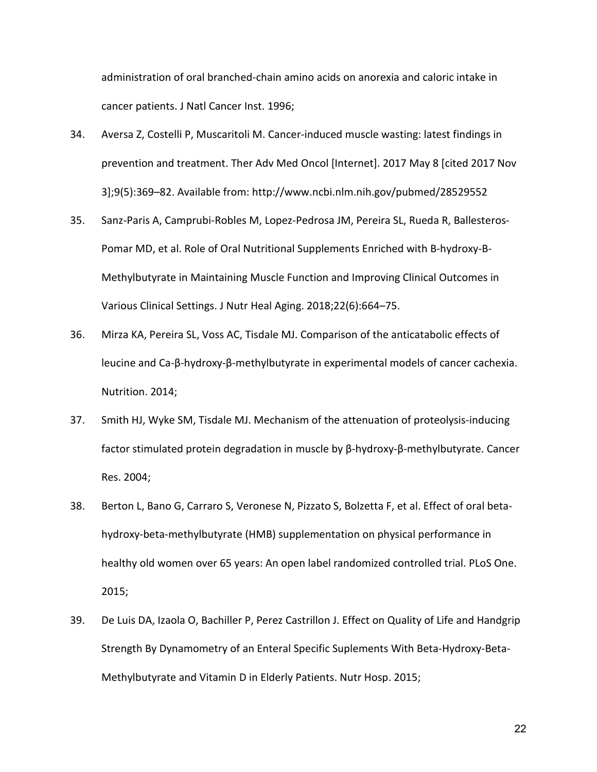administration of oral branched-chain amino acids on anorexia and caloric intake in cancer patients. J Natl Cancer Inst. 1996;

- 34. Aversa Z, Costelli P, Muscaritoli M. Cancer-induced muscle wasting: latest findings in prevention and treatment. Ther Adv Med Oncol [Internet]. 2017 May 8 [cited 2017 Nov 3];9(5):369–82. Available from: http://www.ncbi.nlm.nih.gov/pubmed/28529552
- 35. Sanz-Paris A, Camprubi-Robles M, Lopez-Pedrosa JM, Pereira SL, Rueda R, Ballesteros-Pomar MD, et al. Role of Oral Nutritional Supplements Enriched with B-hydroxy-B-Methylbutyrate in Maintaining Muscle Function and Improving Clinical Outcomes in Various Clinical Settings. J Nutr Heal Aging. 2018;22(6):664–75.
- 36. Mirza KA, Pereira SL, Voss AC, Tisdale MJ. Comparison of the anticatabolic effects of leucine and Ca-β-hydroxy-β-methylbutyrate in experimental models of cancer cachexia. Nutrition. 2014;
- 37. Smith HJ, Wyke SM, Tisdale MJ. Mechanism of the attenuation of proteolysis-inducing factor stimulated protein degradation in muscle by β-hydroxy-β-methylbutyrate. Cancer Res. 2004;
- 38. Berton L, Bano G, Carraro S, Veronese N, Pizzato S, Bolzetta F, et al. Effect of oral betahydroxy-beta-methylbutyrate (HMB) supplementation on physical performance in healthy old women over 65 years: An open label randomized controlled trial. PLoS One. 2015;
- 39. De Luis DA, Izaola O, Bachiller P, Perez Castrillon J. Effect on Quality of Life and Handgrip Strength By Dynamometry of an Enteral Specific Suplements With Beta-Hydroxy-Beta-Methylbutyrate and Vitamin D in Elderly Patients. Nutr Hosp. 2015;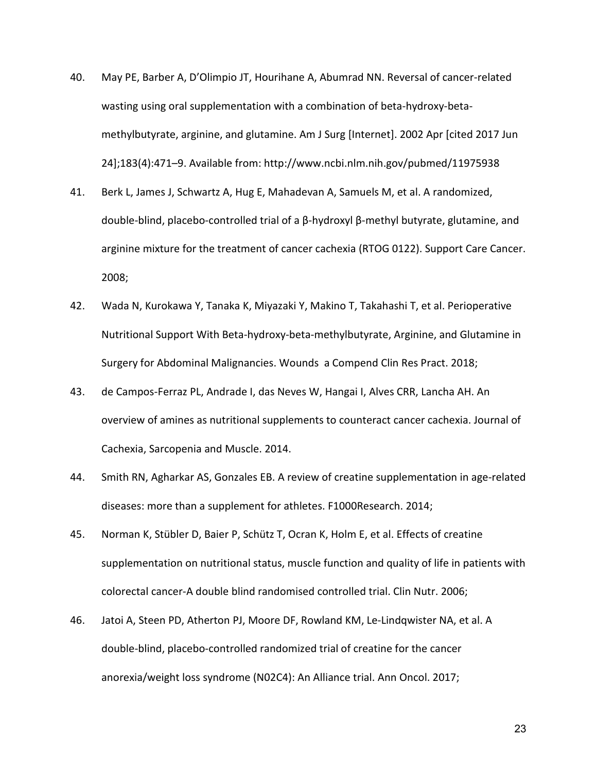- 40. May PE, Barber A, D'Olimpio JT, Hourihane A, Abumrad NN. Reversal of cancer-related wasting using oral supplementation with a combination of beta-hydroxy-betamethylbutyrate, arginine, and glutamine. Am J Surg [Internet]. 2002 Apr [cited 2017 Jun 24];183(4):471–9. Available from: http://www.ncbi.nlm.nih.gov/pubmed/11975938
- 41. Berk L, James J, Schwartz A, Hug E, Mahadevan A, Samuels M, et al. A randomized, double-blind, placebo-controlled trial of a β-hydroxyl β-methyl butyrate, glutamine, and arginine mixture for the treatment of cancer cachexia (RTOG 0122). Support Care Cancer. 2008;
- 42. Wada N, Kurokawa Y, Tanaka K, Miyazaki Y, Makino T, Takahashi T, et al. Perioperative Nutritional Support With Beta-hydroxy-beta-methylbutyrate, Arginine, and Glutamine in Surgery for Abdominal Malignancies. Wounds a Compend Clin Res Pract. 2018;
- 43. de Campos-Ferraz PL, Andrade I, das Neves W, Hangai I, Alves CRR, Lancha AH. An overview of amines as nutritional supplements to counteract cancer cachexia. Journal of Cachexia, Sarcopenia and Muscle. 2014.
- 44. Smith RN, Agharkar AS, Gonzales EB. A review of creatine supplementation in age-related diseases: more than a supplement for athletes. F1000Research. 2014;
- 45. Norman K, Stübler D, Baier P, Schütz T, Ocran K, Holm E, et al. Effects of creatine supplementation on nutritional status, muscle function and quality of life in patients with colorectal cancer-A double blind randomised controlled trial. Clin Nutr. 2006;
- 46. Jatoi A, Steen PD, Atherton PJ, Moore DF, Rowland KM, Le-Lindqwister NA, et al. A double-blind, placebo-controlled randomized trial of creatine for the cancer anorexia/weight loss syndrome (N02C4): An Alliance trial. Ann Oncol. 2017;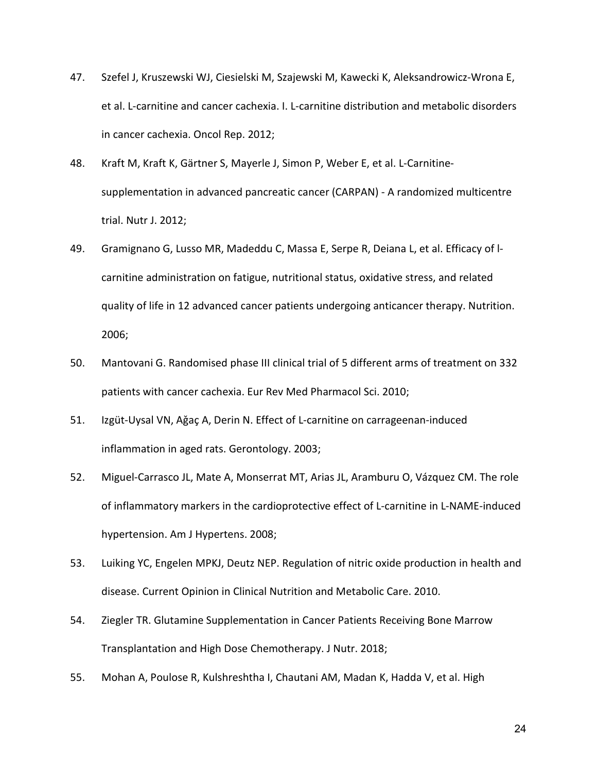- 47. Szefel J, Kruszewski WJ, Ciesielski M, Szajewski M, Kawecki K, Aleksandrowicz-Wrona E, et al. L-carnitine and cancer cachexia. I. L-carnitine distribution and metabolic disorders in cancer cachexia. Oncol Rep. 2012;
- 48. Kraft M, Kraft K, Gärtner S, Mayerle J, Simon P, Weber E, et al. L-Carnitinesupplementation in advanced pancreatic cancer (CARPAN) - A randomized multicentre trial. Nutr J. 2012;
- 49. Gramignano G, Lusso MR, Madeddu C, Massa E, Serpe R, Deiana L, et al. Efficacy of lcarnitine administration on fatigue, nutritional status, oxidative stress, and related quality of life in 12 advanced cancer patients undergoing anticancer therapy. Nutrition. 2006;
- 50. Mantovani G. Randomised phase III clinical trial of 5 different arms of treatment on 332 patients with cancer cachexia. Eur Rev Med Pharmacol Sci. 2010;
- 51. Izgüt-Uysal VN, Aǧaç A, Derin N. Effect of L-carnitine on carrageenan-induced inflammation in aged rats. Gerontology. 2003;
- 52. Miguel-Carrasco JL, Mate A, Monserrat MT, Arias JL, Aramburu O, Vázquez CM. The role of inflammatory markers in the cardioprotective effect of L-carnitine in L-NAME-induced hypertension. Am J Hypertens. 2008;
- 53. Luiking YC, Engelen MPKJ, Deutz NEP. Regulation of nitric oxide production in health and disease. Current Opinion in Clinical Nutrition and Metabolic Care. 2010.
- 54. Ziegler TR. Glutamine Supplementation in Cancer Patients Receiving Bone Marrow Transplantation and High Dose Chemotherapy. J Nutr. 2018;
- 55. Mohan A, Poulose R, Kulshreshtha I, Chautani AM, Madan K, Hadda V, et al. High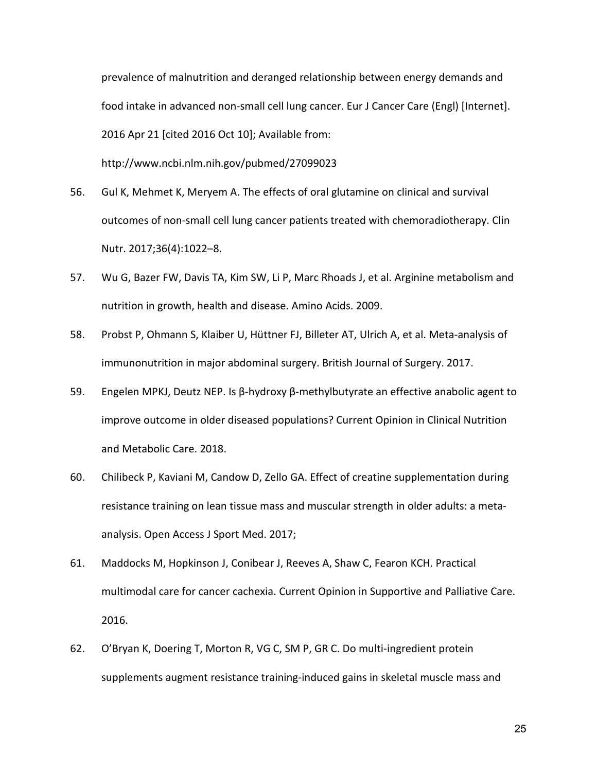prevalence of malnutrition and deranged relationship between energy demands and food intake in advanced non-small cell lung cancer. Eur J Cancer Care (Engl) [Internet]. 2016 Apr 21 [cited 2016 Oct 10]; Available from:

http://www.ncbi.nlm.nih.gov/pubmed/27099023

- 56. Gul K, Mehmet K, Meryem A. The effects of oral glutamine on clinical and survival outcomes of non-small cell lung cancer patients treated with chemoradiotherapy. Clin Nutr. 2017;36(4):1022–8.
- 57. Wu G, Bazer FW, Davis TA, Kim SW, Li P, Marc Rhoads J, et al. Arginine metabolism and nutrition in growth, health and disease. Amino Acids. 2009.
- 58. Probst P, Ohmann S, Klaiber U, Hüttner FJ, Billeter AT, Ulrich A, et al. Meta-analysis of immunonutrition in major abdominal surgery. British Journal of Surgery. 2017.
- 59. Engelen MPKJ, Deutz NEP. Is β-hydroxy β-methylbutyrate an effective anabolic agent to improve outcome in older diseased populations? Current Opinion in Clinical Nutrition and Metabolic Care. 2018.
- 60. Chilibeck P, Kaviani M, Candow D, Zello GA. Effect of creatine supplementation during resistance training on lean tissue mass and muscular strength in older adults: a metaanalysis. Open Access J Sport Med. 2017;
- 61. Maddocks M, Hopkinson J, Conibear J, Reeves A, Shaw C, Fearon KCH. Practical multimodal care for cancer cachexia. Current Opinion in Supportive and Palliative Care. 2016.
- 62. O'Bryan K, Doering T, Morton R, VG C, SM P, GR C. Do multi-ingredient protein supplements augment resistance training-induced gains in skeletal muscle mass and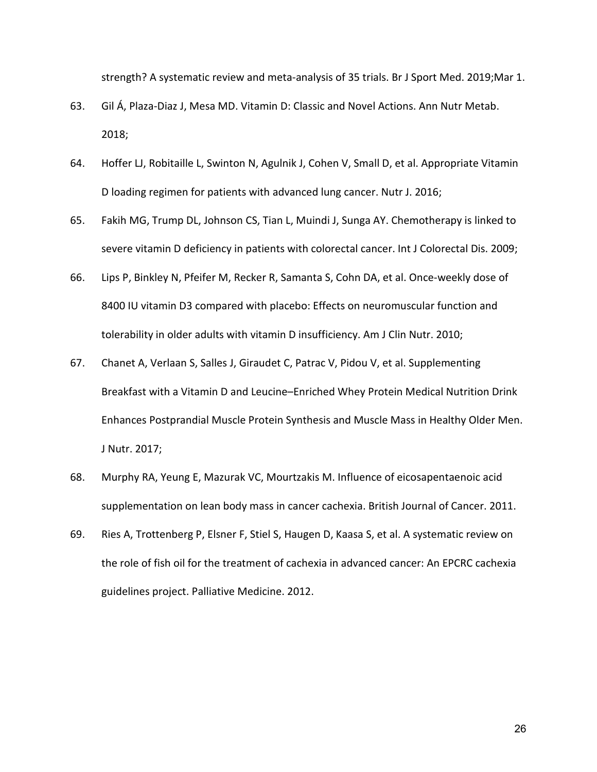strength? A systematic review and meta-analysis of 35 trials. Br J Sport Med. 2019;Mar 1.

- 63. Gil Á, Plaza-Diaz J, Mesa MD. Vitamin D: Classic and Novel Actions. Ann Nutr Metab. 2018;
- 64. Hoffer LJ, Robitaille L, Swinton N, Agulnik J, Cohen V, Small D, et al. Appropriate Vitamin D loading regimen for patients with advanced lung cancer. Nutr J. 2016;
- 65. Fakih MG, Trump DL, Johnson CS, Tian L, Muindi J, Sunga AY. Chemotherapy is linked to severe vitamin D deficiency in patients with colorectal cancer. Int J Colorectal Dis. 2009;
- 66. Lips P, Binkley N, Pfeifer M, Recker R, Samanta S, Cohn DA, et al. Once-weekly dose of 8400 IU vitamin D3 compared with placebo: Effects on neuromuscular function and tolerability in older adults with vitamin D insufficiency. Am J Clin Nutr. 2010;
- 67. Chanet A, Verlaan S, Salles J, Giraudet C, Patrac V, Pidou V, et al. Supplementing Breakfast with a Vitamin D and Leucine–Enriched Whey Protein Medical Nutrition Drink Enhances Postprandial Muscle Protein Synthesis and Muscle Mass in Healthy Older Men. J Nutr. 2017;
- 68. Murphy RA, Yeung E, Mazurak VC, Mourtzakis M. Influence of eicosapentaenoic acid supplementation on lean body mass in cancer cachexia. British Journal of Cancer. 2011.
- 69. Ries A, Trottenberg P, Elsner F, Stiel S, Haugen D, Kaasa S, et al. A systematic review on the role of fish oil for the treatment of cachexia in advanced cancer: An EPCRC cachexia guidelines project. Palliative Medicine. 2012.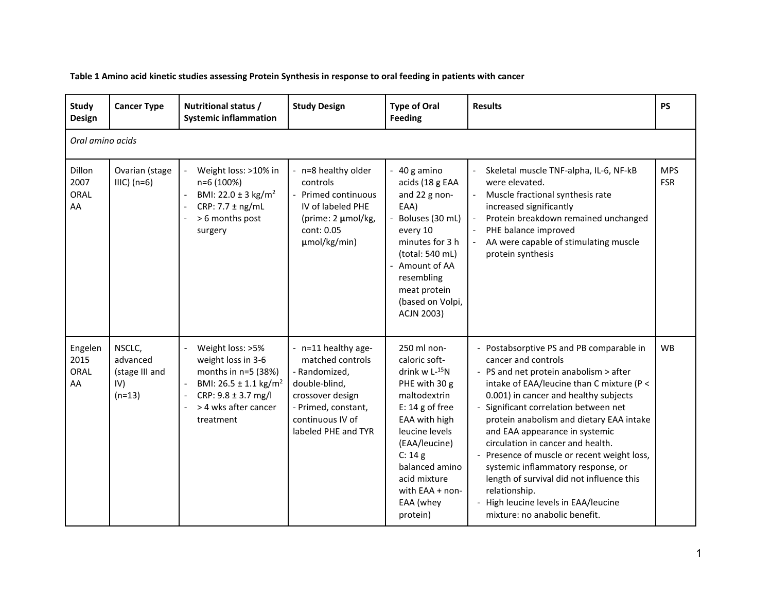**Table 1 Amino acid kinetic studies assessing Protein Synthesis in response to oral feeding in patients with cancer**

| Study<br>Design                      | <b>Cancer Type</b>                                      | Nutritional status /<br><b>Systemic inflammation</b>                                                                                                                                                                                             | <b>Study Design</b>                                                                                                                                             | <b>Type of Oral</b><br><b>Feeding</b>                                                                                                                                                                                                               | <b>Results</b>                                                                                                                                                                                                                                                                                                                                                                                                                                                                                                                                                                          | <b>PS</b>                |  |
|--------------------------------------|---------------------------------------------------------|--------------------------------------------------------------------------------------------------------------------------------------------------------------------------------------------------------------------------------------------------|-----------------------------------------------------------------------------------------------------------------------------------------------------------------|-----------------------------------------------------------------------------------------------------------------------------------------------------------------------------------------------------------------------------------------------------|-----------------------------------------------------------------------------------------------------------------------------------------------------------------------------------------------------------------------------------------------------------------------------------------------------------------------------------------------------------------------------------------------------------------------------------------------------------------------------------------------------------------------------------------------------------------------------------------|--------------------------|--|
|                                      | Oral amino acids                                        |                                                                                                                                                                                                                                                  |                                                                                                                                                                 |                                                                                                                                                                                                                                                     |                                                                                                                                                                                                                                                                                                                                                                                                                                                                                                                                                                                         |                          |  |
| Dillon<br>2007<br><b>ORAL</b><br>AA  | Ovarian (stage<br>$IIIC)$ (n=6)                         | Weight loss: >10% in<br>n=6 (100%)<br>BMI: 22.0 ± 3 kg/m <sup>2</sup><br>CRP: $7.7 \pm$ ng/mL<br>> 6 months post<br>surgery                                                                                                                      | - n=8 healthy older<br>controls<br>- Primed continuous<br>IV of labeled PHE<br>(prime: 2 µmol/kg,<br>cont: 0.05<br>umol/kg/min)                                 | - 40 g amino<br>acids (18 g EAA<br>and 22 g non-<br>EAA)<br>Boluses (30 mL)<br>every 10<br>minutes for 3 h<br>(total: 540 mL)<br>Amount of AA<br>resembling<br>meat protein<br>(based on Volpi,<br><b>ACJN 2003)</b>                                | Skeletal muscle TNF-alpha, IL-6, NF-kB<br>$\overline{\phantom{a}}$<br>were elevated.<br>Muscle fractional synthesis rate<br>$\blacksquare$<br>increased significantly<br>Protein breakdown remained unchanged<br>PHE balance improved<br>AA were capable of stimulating muscle<br>protein synthesis                                                                                                                                                                                                                                                                                     | <b>MPS</b><br><b>FSR</b> |  |
| Engelen<br>2015<br><b>ORAL</b><br>AA | NSCLC,<br>advanced<br>(stage III and<br>IV)<br>$(n=13)$ | Weight loss: >5%<br>$\overline{\phantom{a}}$<br>weight loss in 3-6<br>months in n=5 (38%)<br>BMI: $26.5 \pm 1.1$ kg/m <sup>2</sup><br>$\overline{\phantom{a}}$<br>$CRP: 9.8 \pm 3.7$ mg/l<br>$\blacksquare$<br>> 4 wks after cancer<br>treatment | - n=11 healthy age-<br>matched controls<br>- Randomized,<br>double-blind,<br>crossover design<br>- Primed, constant,<br>continuous IV of<br>labeled PHE and TYR | 250 ml non-<br>caloric soft-<br>drink $w L^{-15}N$<br>PHE with 30 g<br>maltodextrin<br>$E: 14g$ of free<br>EAA with high<br>leucine levels<br>(EAA/leucine)<br>C: 14g<br>balanced amino<br>acid mixture<br>with EAA + non-<br>EAA (whey<br>protein) | - Postabsorptive PS and PB comparable in<br>cancer and controls<br>- PS and net protein anabolism > after<br>intake of EAA/leucine than C mixture (P <<br>0.001) in cancer and healthy subjects<br>- Significant correlation between net<br>protein anabolism and dietary EAA intake<br>and EAA appearance in systemic<br>circulation in cancer and health.<br>- Presence of muscle or recent weight loss,<br>systemic inflammatory response, or<br>length of survival did not influence this<br>relationship.<br>- High leucine levels in EAA/leucine<br>mixture: no anabolic benefit. | <b>WB</b>                |  |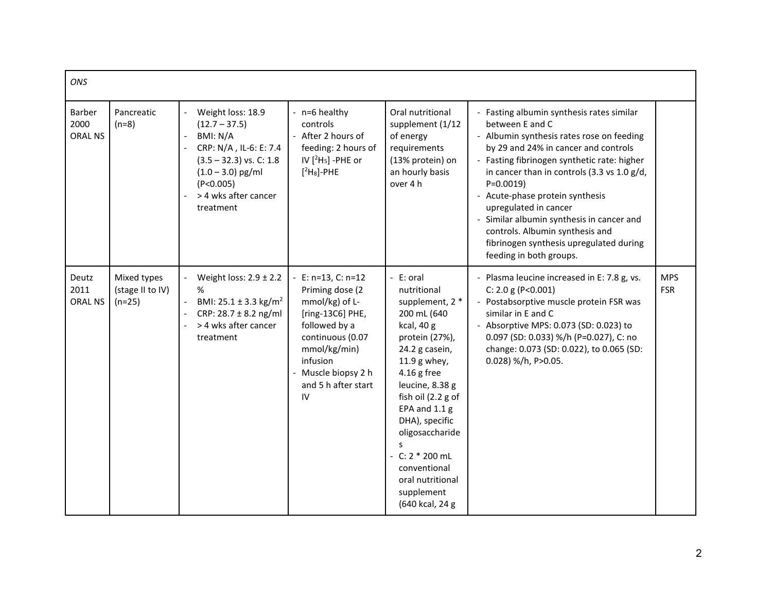| ONS                              |                                             |                                                                                                                                                                                                                                |                                                                                                                                                                                                  |                                                                                                                                                                                                                                                                                                                                            |                                                                                                                                                                                                                                                                                                                                                                                                                                                                               |                          |
|----------------------------------|---------------------------------------------|--------------------------------------------------------------------------------------------------------------------------------------------------------------------------------------------------------------------------------|--------------------------------------------------------------------------------------------------------------------------------------------------------------------------------------------------|--------------------------------------------------------------------------------------------------------------------------------------------------------------------------------------------------------------------------------------------------------------------------------------------------------------------------------------------|-------------------------------------------------------------------------------------------------------------------------------------------------------------------------------------------------------------------------------------------------------------------------------------------------------------------------------------------------------------------------------------------------------------------------------------------------------------------------------|--------------------------|
| Barber<br>2000<br><b>ORAL NS</b> | Pancreatic<br>$(n=8)$                       | Weight loss: 18.9<br>$(12.7 - 37.5)$<br>BMI: N/A<br>CRP: N/A, IL-6: E: 7.4<br>$(3.5 - 32.3)$ vs. C: 1.8<br>$(1.0 - 3.0)$ pg/ml<br>(P<0.005)<br>> 4 wks after cancer<br>treatment                                               | - n=6 healthy<br>controls<br>- After 2 hours of<br>feeding: 2 hours of<br>IV $[{}^2H_5]$ -PHE or<br>$[{}^{2}H_{8}]$ -PHE                                                                         | Oral nutritional<br>supplement (1/12<br>of energy<br>requirements<br>(13% protein) on<br>an hourly basis<br>over 4 h                                                                                                                                                                                                                       | - Fasting albumin synthesis rates similar<br>between E and C<br>- Albumin synthesis rates rose on feeding<br>by 29 and 24% in cancer and controls<br>- Fasting fibrinogen synthetic rate: higher<br>in cancer than in controls (3.3 vs 1.0 g/d,<br>$P=0.0019$<br>- Acute-phase protein synthesis<br>upregulated in cancer<br>Similar albumin synthesis in cancer and<br>controls. Albumin synthesis and<br>fibrinogen synthesis upregulated during<br>feeding in both groups. |                          |
| Deutz<br>2011<br><b>ORAL NS</b>  | Mixed types<br>(stage II to IV)<br>$(n=25)$ | Weight loss: $2.9 \pm 2.2$<br>$\overline{\phantom{0}}$<br>%<br>BMI: $25.1 \pm 3.3$ kg/m <sup>2</sup><br>$\overline{\phantom{a}}$<br>CRP: $28.7 \pm 8.2$ ng/ml<br>> 4 wks after cancer<br>$\overline{\phantom{a}}$<br>treatment | $E: n=13, C: n=12$<br>Priming dose (2<br>mmol/kg) of L-<br>[ring-13C6] PHE,<br>followed by a<br>continuous (0.07<br>mmol/kg/min)<br>infusion<br>- Muscle biopsy 2 h<br>and 5 h after start<br>IV | - E: oral<br>nutritional<br>supplement, 2 *<br>200 mL (640<br>kcal, 40 g<br>protein (27%),<br>24.2 g casein,<br>11.9 g whey,<br>$4.16$ g free<br>leucine, 8.38 g<br>fish oil (2.2 g of<br>EPA and 1.1 g<br>DHA), specific<br>oligosaccharide<br>S<br>$-C: 2 * 200$ mL<br>conventional<br>oral nutritional<br>supplement<br>(640 kcal, 24 g | Plasma leucine increased in E: 7.8 g, vs.<br>C: 2.0 g (P<0.001)<br>- Postabsorptive muscle protein FSR was<br>similar in E and C<br>- Absorptive MPS: 0.073 (SD: 0.023) to<br>0.097 (SD: 0.033) %/h (P=0.027), C: no<br>change: 0.073 (SD: 0.022), to 0.065 (SD:<br>0.028) %/h, P>0.05.                                                                                                                                                                                       | <b>MPS</b><br><b>FSR</b> |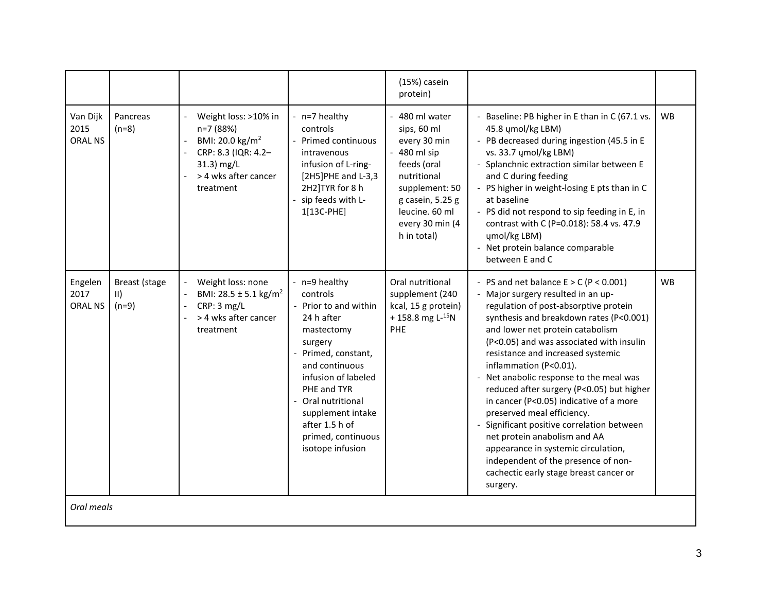|                                    |                                                 |                                                                                                                                                          |                                                                                                                                                                                                                                                                                 | (15%) casein<br>protein)                                                                                                                                                               |                                                                                                                                                                                                                                                                                                                                                                                                                                                                                                                                                                                                                                                                                                    |           |
|------------------------------------|-------------------------------------------------|----------------------------------------------------------------------------------------------------------------------------------------------------------|---------------------------------------------------------------------------------------------------------------------------------------------------------------------------------------------------------------------------------------------------------------------------------|----------------------------------------------------------------------------------------------------------------------------------------------------------------------------------------|----------------------------------------------------------------------------------------------------------------------------------------------------------------------------------------------------------------------------------------------------------------------------------------------------------------------------------------------------------------------------------------------------------------------------------------------------------------------------------------------------------------------------------------------------------------------------------------------------------------------------------------------------------------------------------------------------|-----------|
| Van Dijk<br>2015<br><b>ORAL NS</b> | Pancreas<br>$(n=8)$                             | Weight loss: >10% in<br>n=7 (88%)<br>BMI: 20.0 kg/m <sup>2</sup><br>CRP: 8.3 (IQR: 4.2-<br>$31.3$ ) mg/L<br>> 4 wks after cancer<br>treatment            | - n=7 healthy<br>controls<br>- Primed continuous<br>intravenous<br>infusion of L-ring-<br>[2H5]PHE and L-3,3<br>2H2]TYR for 8 h<br>- sip feeds with L-<br>1[13C-PHE]                                                                                                            | - 480 ml water<br>sips, 60 ml<br>every 30 min<br>$-480$ ml sip<br>feeds (oral<br>nutritional<br>supplement: 50<br>g casein, 5.25 g<br>leucine. 60 ml<br>every 30 min (4<br>h in total) | - Baseline: PB higher in E than in C (67.1 vs.<br>45.8 ymol/kg LBM)<br>- PB decreased during ingestion (45.5 in E<br>vs. 33.7 umol/kg LBM)<br>- Splanchnic extraction similar between E<br>and C during feeding<br>- PS higher in weight-losing E pts than in C<br>at baseline<br>- PS did not respond to sip feeding in E, in<br>contrast with C (P=0.018): 58.4 vs. 47.9<br>umol/kg LBM)<br>- Net protein balance comparable<br>between E and C                                                                                                                                                                                                                                                  | <b>WB</b> |
| Engelen<br>2017<br><b>ORAL NS</b>  | Breast (stage<br>$\vert \vert \vert$<br>$(n=9)$ | Weight loss: none<br>BMI: $28.5 \pm 5.1 \text{ kg/m}^2$<br>$\frac{1}{2}$<br>CRP: 3 mg/L<br>$\Box$<br>> 4 wks after cancer<br>$\blacksquare$<br>treatment | - n=9 healthy<br>controls<br>- Prior to and within<br>24 h after<br>mastectomy<br>surgery<br>- Primed, constant,<br>and continuous<br>infusion of labeled<br>PHE and TYR<br>- Oral nutritional<br>supplement intake<br>after 1.5 h of<br>primed, continuous<br>isotope infusion | Oral nutritional<br>supplement (240<br>kcal, 15 g protein)<br>+158.8 mg $L^{-15}N$<br>PHE                                                                                              | - PS and net balance $E > C$ (P < 0.001)<br>- Major surgery resulted in an up-<br>regulation of post-absorptive protein<br>synthesis and breakdown rates (P<0.001)<br>and lower net protein catabolism<br>(P<0.05) and was associated with insulin<br>resistance and increased systemic<br>inflammation (P<0.01).<br>- Net anabolic response to the meal was<br>reduced after surgery (P<0.05) but higher<br>in cancer (P<0.05) indicative of a more<br>preserved meal efficiency.<br>Significant positive correlation between<br>net protein anabolism and AA<br>appearance in systemic circulation,<br>independent of the presence of non-<br>cachectic early stage breast cancer or<br>surgery. | <b>WB</b> |
| Oral meals                         |                                                 |                                                                                                                                                          |                                                                                                                                                                                                                                                                                 |                                                                                                                                                                                        |                                                                                                                                                                                                                                                                                                                                                                                                                                                                                                                                                                                                                                                                                                    |           |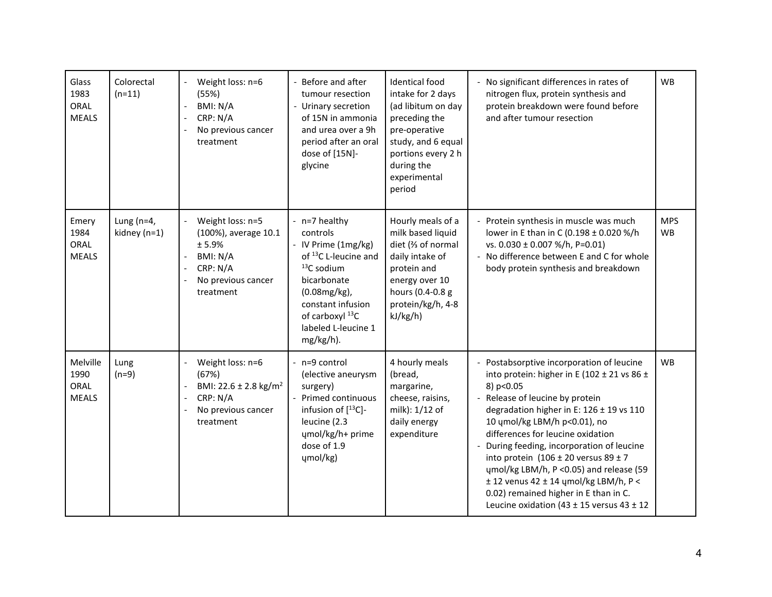| Glass<br>1983<br>ORAL<br><b>MEALS</b>    | Colorectal<br>$(n=11)$         | Weight loss: n=6<br>$\overline{\phantom{a}}$<br>(55%)<br>BMI: N/A<br>$\overline{\phantom{a}}$<br>CRP: N/A<br>$\overline{\phantom{a}}$<br>No previous cancer<br>$\overline{\phantom{a}}$<br>treatment | - Before and after<br>tumour resection<br>- Urinary secretion<br>of 15N in ammonia<br>and urea over a 9h<br>period after an oral<br>dose of [15N]-<br>glycine                                                   | <b>Identical food</b><br>intake for 2 days<br>(ad libitum on day<br>preceding the<br>pre-operative<br>study, and 6 equal<br>portions every 2 h<br>during the<br>experimental<br>period | - No significant differences in rates of<br>nitrogen flux, protein synthesis and<br>protein breakdown were found before<br>and after tumour resection                                                                                                                                                                                                                                                                                                                                                                                               | <b>WB</b>               |
|------------------------------------------|--------------------------------|------------------------------------------------------------------------------------------------------------------------------------------------------------------------------------------------------|-----------------------------------------------------------------------------------------------------------------------------------------------------------------------------------------------------------------|----------------------------------------------------------------------------------------------------------------------------------------------------------------------------------------|-----------------------------------------------------------------------------------------------------------------------------------------------------------------------------------------------------------------------------------------------------------------------------------------------------------------------------------------------------------------------------------------------------------------------------------------------------------------------------------------------------------------------------------------------------|-------------------------|
| Emery<br>1984<br>ORAL<br><b>MEALS</b>    | Lung ( $n=4$ ,<br>kidney (n=1) | Weight loss: n=5<br>$\mathbb{L}$<br>(100%), average 10.1<br>± 5.9%<br>BMI: N/A<br>$\blacksquare$<br>CRP: N/A<br>No previous cancer<br>$\overline{\phantom{a}}$<br>treatment                          | - n=7 healthy<br>controls<br>- IV Prime (1mg/kg)<br>of <sup>13</sup> C L-leucine and<br>$13C$ sodium<br>bicarbonate<br>(0.08mg/kg),<br>constant infusion<br>of carboxyl 13C<br>labeled L-leucine 1<br>mg/kg/h). | Hourly meals of a<br>milk based liquid<br>diet (% of normal<br>daily intake of<br>protein and<br>energy over 10<br>hours (0.4-0.8 g<br>protein/kg/h, 4-8<br>kJ/kg/h)                   | Protein synthesis in muscle was much<br>lower in E than in C (0.198 ± 0.020 %/h<br>vs. 0.030 ± 0.007 %/h, P=0.01)<br>- No difference between E and C for whole<br>body protein synthesis and breakdown                                                                                                                                                                                                                                                                                                                                              | <b>MPS</b><br><b>WB</b> |
| Melville<br>1990<br>ORAL<br><b>MEALS</b> | Lung<br>$(n=9)$                | Weight loss: n=6<br>$\overline{\phantom{a}}$<br>(67%)<br>BMI: 22.6 ± 2.8 kg/m <sup>2</sup><br>$\blacksquare$<br>CRP: N/A<br>$\overline{\phantom{a}}$<br>No previous cancer<br>treatment              | - n=9 control<br>(elective aneurysm<br>surgery)<br>- Primed continuous<br>infusion of $[^{13}C]$ -<br>leucine (2.3<br>ųmol/kg/h+ prime<br>dose of 1.9<br>ųmol/kg)                                               | 4 hourly meals<br>(bread,<br>margarine,<br>cheese, raisins,<br>milk): 1/12 of<br>daily energy<br>expenditure                                                                           | - Postabsorptive incorporation of leucine<br>into protein: higher in E (102 ± 21 vs 86 ±<br>8) p<0.05<br>- Release of leucine by protein<br>degradation higher in E: 126 ± 19 vs 110<br>10 umol/kg LBM/h p<0.01), no<br>differences for leucine oxidation<br>During feeding, incorporation of leucine<br>into protein $(106 \pm 20 \text{ versus } 89 \pm 7$<br>umol/kg LBM/h, P < 0.05) and release (59<br>$± 12$ venus 42 $± 14$ ųmol/kg LBM/h, P <<br>0.02) remained higher in E than in C.<br>Leucine oxidation (43 $\pm$ 15 versus 43 $\pm$ 12 | <b>WB</b>               |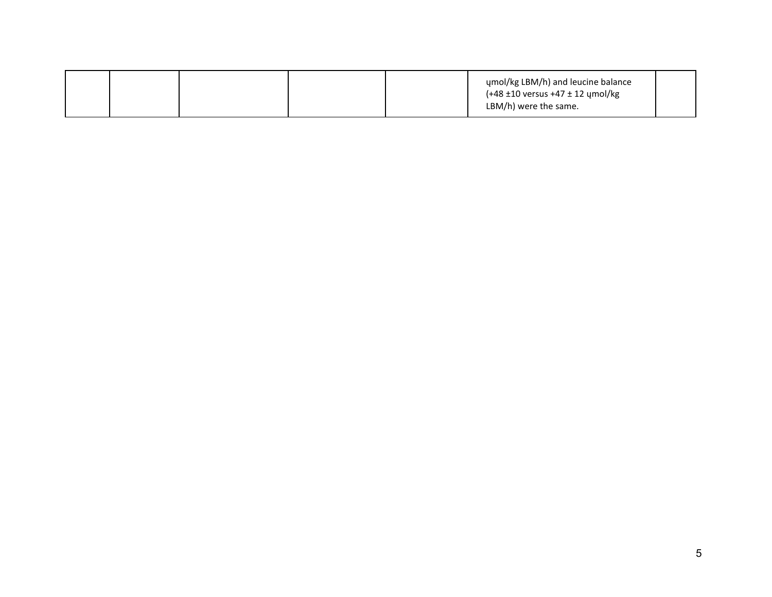|  |  | umol/kg LBM/h) and leucine balance<br>$(+48 \pm 10 \text{ versus } +47 \pm 12 \text{ ymol/kg})$<br>LBM/h) were the same. |  |
|--|--|--------------------------------------------------------------------------------------------------------------------------|--|
|  |  |                                                                                                                          |  |